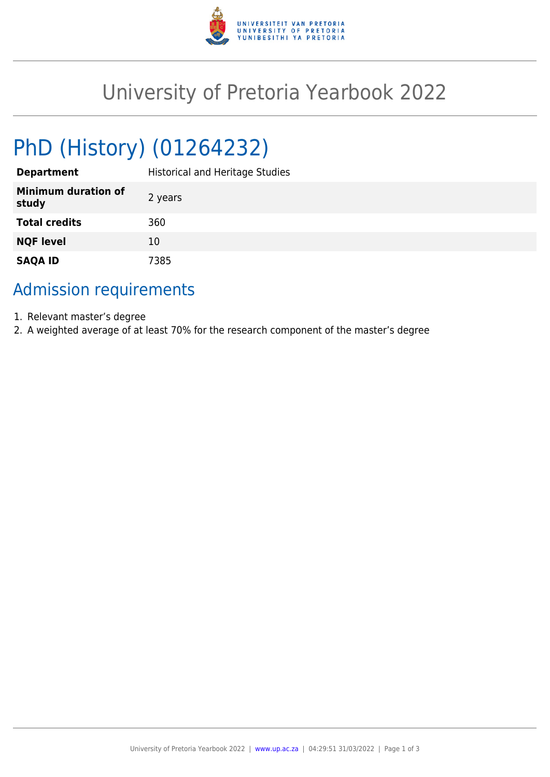

## University of Pretoria Yearbook 2022

# PhD (History) (01264232)

| <b>Department</b>                   | <b>Historical and Heritage Studies</b> |
|-------------------------------------|----------------------------------------|
| <b>Minimum duration of</b><br>study | 2 years                                |
| <b>Total credits</b>                | 360                                    |
| <b>NQF level</b>                    | 10                                     |
| <b>SAQA ID</b>                      | 7385                                   |

### Admission requirements

- 1. Relevant master's degree
- 2. A weighted average of at least 70% for the research component of the master's degree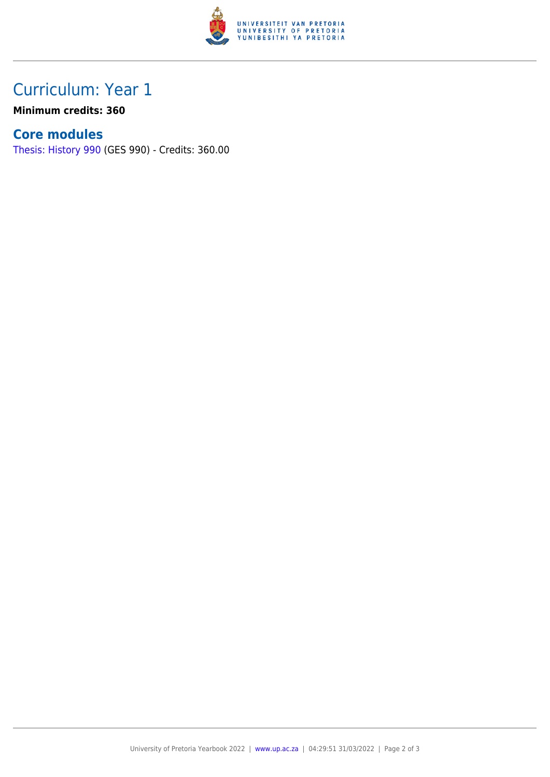

## Curriculum: Year 1

**Minimum credits: 360**

#### **Core modules**

[Thesis: History 990](https://www.up.ac.za/mechanical-and-aeronautical-engineering/yearbooks/2022/modules/view/GES 990) (GES 990) - Credits: 360.00